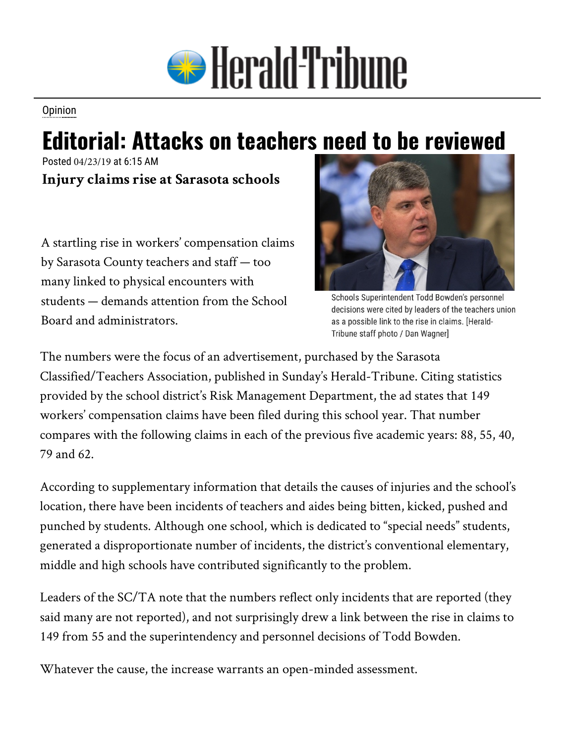

**Opinion** 

## **Editorial: Attacks on teachers need to be reviewed**

Posted 04/23/19 at 6:15 AM **Injury claims rise at Sarasota schools**

A startling rise in workers' compensation claims by Sarasota County teachers and staff — too many linked to physical encounters with students — demands attention from the School Board and administrators.



Schools Superintendent Todd Bowden's personnel decisions were cited by leaders of the teachers union as a possible link to the rise in claims. [Herald-Tribune staff photo / Dan Wagner]

The numbers were the focus of an advertisement, purchased by the Sarasota Classified/Teachers Association, published in Sunday's Herald-Tribune. Citing statistics provided by the school district's Risk Management Department, the ad states that 149 workers' compensation claims have been filed during this school year. That number compares with the following claims in each of the previous five academic years: 88, 55, 40, 79 and 62.

According to supplementary information that details the causes of injuries and the school's location, there have been incidents of teachers and aides being bitten, kicked, pushed and punched by students. Although one school, which is dedicated to "special needs" students, generated a disproportionate number of incidents, the district's conventional elementary, middle and high schools have contributed significantly to the problem.

Leaders of the SC/TA note that the numbers reflect only incidents that are reported (they said many are not reported), and not surprisingly drew a link between the rise in claims to 149 from 55 and the superintendency and personnel decisions of Todd Bowden.

Whatever the cause, the increase warrants an open-minded assessment.